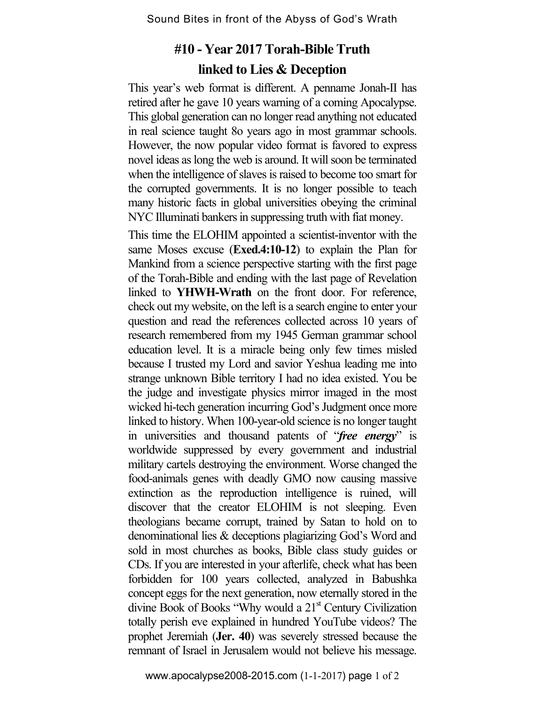## **#10 - Year 2017 Torah-Bible Truth linked to Lies & Deception**

This year's web format is different. A penname Jonah-II has retired after he gave 10 years warning of a coming Apocalypse. This global generation can no longer read anything not educated in real science taught 8o years ago in most grammar schools. However, the now popular video format is favored to express novel ideas as long the web is around. It will soon be terminated when the intelligence of slaves is raised to become too smart for the corrupted governments. It is no longer possible to teach many historic facts in global universities obeying the criminal NYC Illuminati bankers in suppressing truth with fiat money.

This time the ELOHIM appointed a scientist-inventor with the same Moses excuse (**Exed.4:10-12**) to explain the Plan for Mankind from a science perspective starting with the first page of the Torah-Bible and ending with the last page of Revelation linked to **YHWH-Wrath** on the front door. For reference, check out my website, on the left is a search engine to enter your question and read the references collected across 10 years of research remembered from my 1945 German grammar school education level. It is a miracle being only few times misled because I trusted my Lord and savior Yeshua leading me into strange unknown Bible territory I had no idea existed. You be the judge and investigate physics mirror imaged in the most wicked hi-tech generation incurring God's Judgment once more linked to history. When 100-year-old science is no longer taught in universities and thousand patents of "*free energy*" is worldwide suppressed by every government and industrial military cartels destroying the environment. Worse changed the food-animals genes with deadly GMO now causing massive extinction as the reproduction intelligence is ruined, will discover that the creator ELOHIM is not sleeping. Even theologians became corrupt, trained by Satan to hold on to denominational lies & deceptions plagiarizing God's Word and sold in most churches as books, Bible class study guides or CDs. If you are interested in your afterlife, check what has been forbidden for 100 years collected, analyzed in Babushka concept eggs for the next generation, now eternally stored in the divine Book of Books "Why would a  $21<sup>st</sup>$  Century Civilization totally perish eve explained in hundred YouTube videos? The prophet Jeremiah (**Jer. 40**) was severely stressed because the remnant of Israel in Jerusalem would not believe his message.